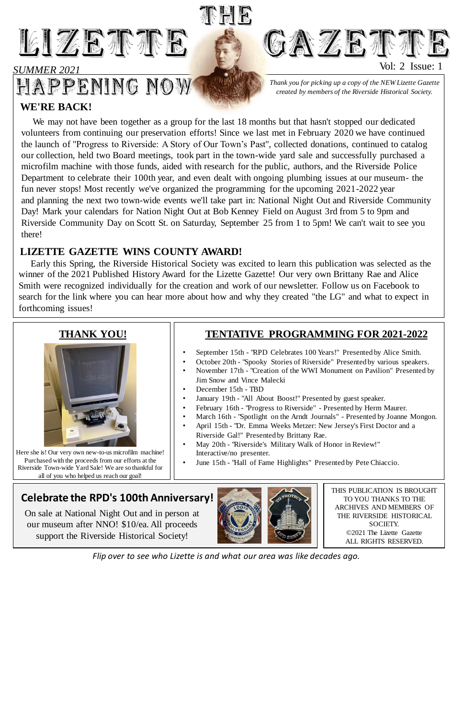

#### *SUMMER 2021*

# HAPPENING NOW

THIS PUBLICATION IS BROUGHT TO YOU THANKS TO THE ARCHIVES AND MEMBERS OF THE RIVERSIDE HISTORICAL SOCIETY.

> ©2021 The Lizette Gazette ALL RIGHTS RESERVED.

*Thank you for picking up a copy of the NEW Lizette Gazette created by members of the Riverside Historical Society.*

**GAZETTE** 

Here she is! Our very own new-to-us microfilm machine! Purchased with the proceeds from our efforts at the Riverside Town-wide Yard Sale! We are so thankful for all of you who helped us reach our goal!

Vol: 2 Issue: 1

### **THANK YOU!**



*Flip over to see who Lizette is and what our area was like decades ago.*

#### **WE'RE BACK!**

We may not have been together as a group for the last 18 months but that hasn't stopped our dedicated volunteers from continuing our preservation efforts! Since we last met in February 2020 we have continued the launch of "Progress to Riverside: A Story of Our Town's Past", collected donations, continued to catalog our collection, held two Board meetings, took part in the town-wide yard sale and successfully purchased a microfilm machine with those funds, aided with research for the public, authors, and the Riverside Police Department to celebrate their 100th year, and even dealt with ongoing plumbing issues at our museum- the fun never stops! Most recently we've organized the programming for the upcoming 2021-2022 year and planning the next two town-wide events we'll take part in: National Night Out and Riverside Community Day! Mark your calendars for Nation Night Out at Bob Kenney Field on August 3rd from 5 to 9pm and Riverside Community Day on Scott St. on Saturday, September 25 from 1 to 5pm! We can't wait to see you there!

狐圆圆

#### **LIZETTE GAZETTE WINS COUNTY AWARD!**

Early this Spring, the Riverside Historical Society was excited to learn this publication was selected as the winner of the 2021 Published History Award for the Lizette Gazette! Our very own Brittany Rae and Alice Smith were recognized individually for the creation and work of our newsletter. Follow us on Facebook to search for the link where you can hear more about how and why they created "the LG" and what to expect in forthcoming issues!

## **Celebrate the RPD's 100th Anniversary!**

On sale at National Night Out and in person at our museum after NNO! \$10/ea. All proceeds



support the Riverside Historical Society!

- September 15th "RPD Celebrates 100 Years!" Presented by Alice Smith.
- October 20th "Spooky Stories of Riverside" Presented by various speakers.
- November 17th "Creation of the WWI Monument on Pavilion" Presented by Jim Snow and Vince Malecki
- December 15th TBD
- January 19th "All About Boost!" Presented by guest speaker.
- February 16th "Progress to Riverside" Presented by Herm Maurer.
- March 16th "Spotlight on the Arndt Journals" Presented by Joanne Mongon.
- April 15th "Dr. Emma Weeks Metzer: New Jersey's First Doctor and a Riverside Gal!" Presented by Brittany Rae.
- May 20th "Riverside's Military Walk of Honor in Review!" Interactive/no presenter.
- June 15th "Hall of Fame Highlights" Presented by Pete Chiaccio.

#### **TENTATIVE PROGRAMMING FOR 2021-2022**